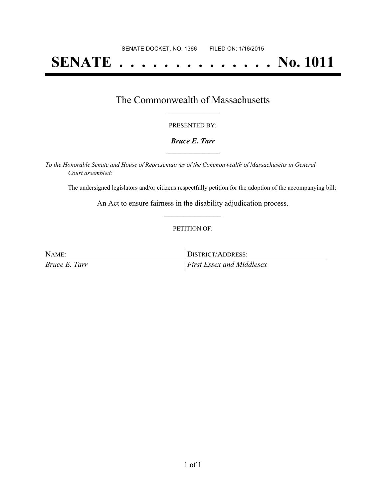# **SENATE . . . . . . . . . . . . . . No. 1011**

### The Commonwealth of Massachusetts **\_\_\_\_\_\_\_\_\_\_\_\_\_\_\_\_\_**

#### PRESENTED BY:

#### *Bruce E. Tarr* **\_\_\_\_\_\_\_\_\_\_\_\_\_\_\_\_\_**

*To the Honorable Senate and House of Representatives of the Commonwealth of Massachusetts in General Court assembled:*

The undersigned legislators and/or citizens respectfully petition for the adoption of the accompanying bill:

An Act to ensure fairness in the disability adjudication process. **\_\_\_\_\_\_\_\_\_\_\_\_\_\_\_**

#### PETITION OF:

| NAME:         | DISTRICT/ADDRESS:            |
|---------------|------------------------------|
| Bruce E. Tarr | $First E$ ssex and Middlesex |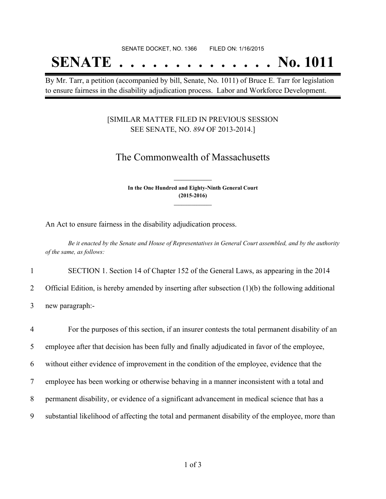## SENATE DOCKET, NO. 1366 FILED ON: 1/16/2015

## **SENATE . . . . . . . . . . . . . . No. 1011**

By Mr. Tarr, a petition (accompanied by bill, Senate, No. 1011) of Bruce E. Tarr for legislation to ensure fairness in the disability adjudication process. Labor and Workforce Development.

### [SIMILAR MATTER FILED IN PREVIOUS SESSION SEE SENATE, NO. *894* OF 2013-2014.]

## The Commonwealth of Massachusetts

**In the One Hundred and Eighty-Ninth General Court (2015-2016) \_\_\_\_\_\_\_\_\_\_\_\_\_\_\_**

**\_\_\_\_\_\_\_\_\_\_\_\_\_\_\_**

An Act to ensure fairness in the disability adjudication process.

Be it enacted by the Senate and House of Representatives in General Court assembled, and by the authority *of the same, as follows:*

1 SECTION 1. Section 14 of Chapter 152 of the General Laws, as appearing in the 2014

2 Official Edition, is hereby amended by inserting after subsection (1)(b) the following additional

3 new paragraph:-

 For the purposes of this section, if an insurer contests the total permanent disability of an employee after that decision has been fully and finally adjudicated in favor of the employee, without either evidence of improvement in the condition of the employee, evidence that the employee has been working or otherwise behaving in a manner inconsistent with a total and permanent disability, or evidence of a significant advancement in medical science that has a substantial likelihood of affecting the total and permanent disability of the employee, more than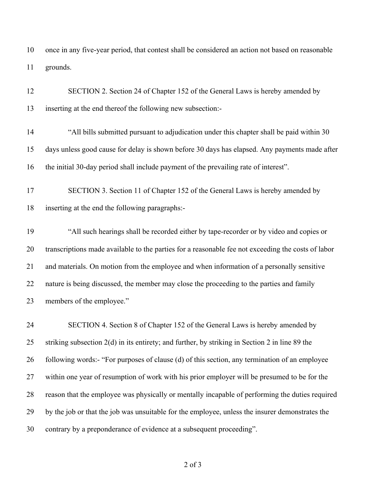once in any five-year period, that contest shall be considered an action not based on reasonable grounds.

| 12 | SECTION 2. Section 24 of Chapter 152 of the General Laws is hereby amended by                      |
|----|----------------------------------------------------------------------------------------------------|
| 13 | inserting at the end thereof the following new subsection:-                                        |
| 14 | "All bills submitted pursuant to adjudication under this chapter shall be paid within 30           |
| 15 | days unless good cause for delay is shown before 30 days has elapsed. Any payments made after      |
| 16 | the initial 30-day period shall include payment of the prevailing rate of interest".               |
| 17 | SECTION 3. Section 11 of Chapter 152 of the General Laws is hereby amended by                      |
| 18 | inserting at the end the following paragraphs:-                                                    |
| 19 | "All such hearings shall be recorded either by tape-recorder or by video and copies or             |
| 20 | transcriptions made available to the parties for a reasonable fee not exceeding the costs of labor |
| 21 | and materials. On motion from the employee and when information of a personally sensitive          |
| 22 | nature is being discussed, the member may close the proceeding to the parties and family           |
| 23 | members of the employee."                                                                          |
| 24 | SECTION 4. Section 8 of Chapter 152 of the General Laws is hereby amended by                       |
| 25 | striking subsection 2(d) in its entirety; and further, by striking in Section 2 in line 89 the     |
| 26 | following words:- "For purposes of clause (d) of this section, any termination of an employee      |
| 27 | within one year of resumption of work with his prior employer will be presumed to be for the       |
| 28 | reason that the employee was physically or mentally incapable of performing the duties required    |
| 29 | by the job or that the job was unsuitable for the employee, unless the insurer demonstrates the    |
| 30 | contrary by a preponderance of evidence at a subsequent proceeding".                               |

of 3